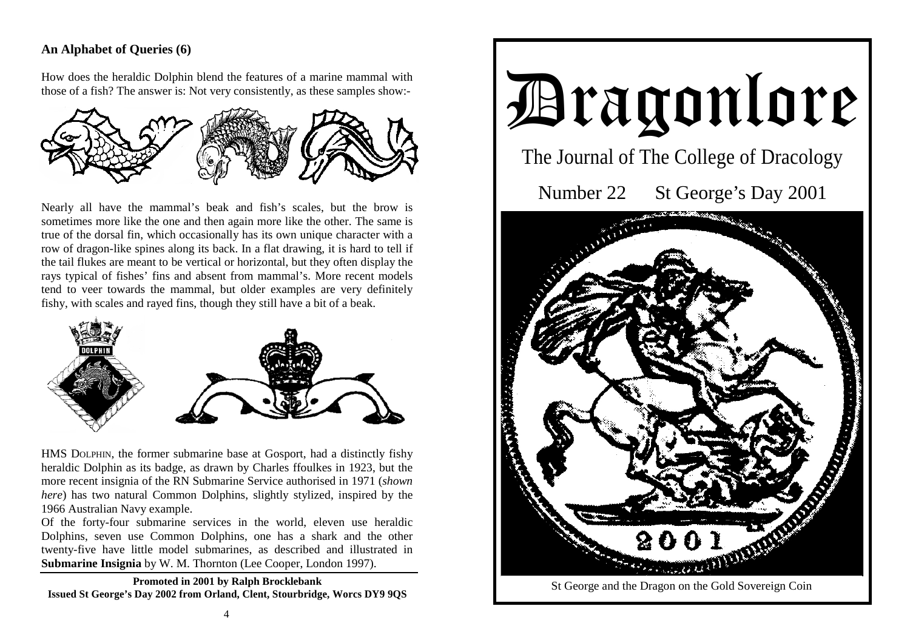## **An Alphabet of Queries (6)**

How does the heraldic Dolphin blend the features of a marine mammal with those of a fish? The answer is: Not very consistently, as these samples show:-



Nearly all have the mammal's beak and fish's scales, but the brow is sometimes more like the one and then again more like the other. The same is true of the dorsal fin, which occasionally has its own unique character with a row of dragon-like spines along its back. In a flat drawing, it is hard to tell if the tail flukes are meant to be vertical or horizontal, but they often display the rays typical of fishes' fins and absent from mammal's. More recent models tend to veer towards the mammal, but older examples are very definitely fishy, with scales and rayed fins, though they still have a bit of a beak.



HMS DOLPHIN, the former submarine base at Gosport, had a distinctly fishy heraldic Dolphin as its badge, as drawn by Charles ffoulkes in 1923, but the more recent insignia of the RN Submarine Service authorised in 1971 (*shown here*) has two natural Common Dolphins, slightly stylized, inspired by the 1966 Australian Navy example.

Of the forty-four submarine services in the world, eleven use heraldic Dolphins, seven use Common Dolphins, one has a shark and the other twenty-five have little model submarines, as described and illustrated in **Submarine Insignia** by W. M. Thornton (Lee Cooper, London 1997).

**Promoted in 2001 by Ralph Brocklebank Issued St George's Day 2002 from Orland, Clent, Stourbridge, Worcs DY9 9QS**